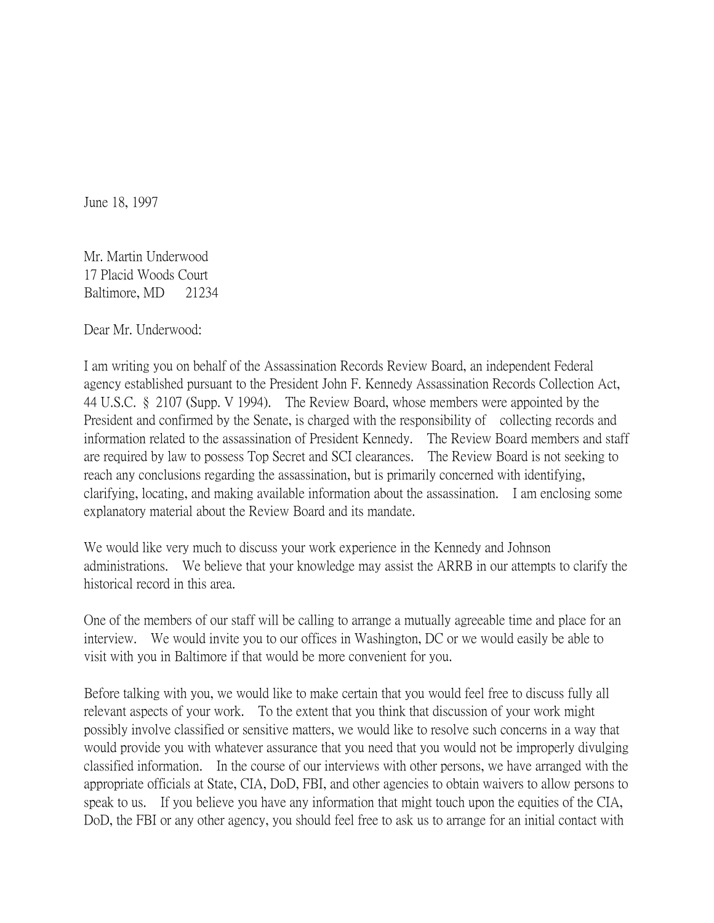June 18, 1997

Mr. Martin Underwood 17 Placid Woods Court Baltimore, MD 21234

Dear Mr. Underwood:

I am writing you on behalf of the Assassination Records Review Board, an independent Federal agency established pursuant to the President John F. Kennedy Assassination Records Collection Act, 44 U.S.C. § 2107 (Supp. V 1994). The Review Board, whose members were appointed by the President and confirmed by the Senate, is charged with the responsibility of collecting records and information related to the assassination of President Kennedy. The Review Board members and staff are required by law to possess Top Secret and SCI clearances. The Review Board is not seeking to reach any conclusions regarding the assassination, but is primarily concerned with identifying, clarifying, locating, and making available information about the assassination. I am enclosing some explanatory material about the Review Board and its mandate.

We would like very much to discuss your work experience in the Kennedy and Johnson administrations. We believe that your knowledge may assist the ARRB in our attempts to clarify the historical record in this area.

One of the members of our staff will be calling to arrange a mutually agreeable time and place for an interview. We would invite you to our offices in Washington, DC or we would easily be able to visit with you in Baltimore if that would be more convenient for you.

Before talking with you, we would like to make certain that you would feel free to discuss fully all relevant aspects of your work. To the extent that you think that discussion of your work might possibly involve classified or sensitive matters, we would like to resolve such concerns in a way that would provide you with whatever assurance that you need that you would not be improperly divulging classified information. In the course of our interviews with other persons, we have arranged with the appropriate officials at State, CIA, DoD, FBI, and other agencies to obtain waivers to allow persons to speak to us. If you believe you have any information that might touch upon the equities of the CIA, DoD, the FBI or any other agency, you should feel free to ask us to arrange for an initial contact with